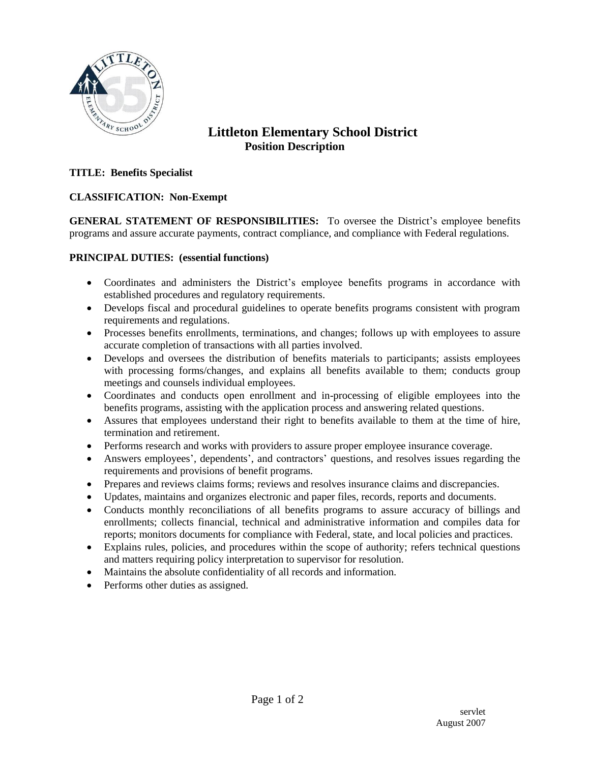

# **Littleton Elementary School District Position Description**

### **TITLE: Benefits Specialist**

## **CLASSIFICATION: Non-Exempt**

**GENERAL STATEMENT OF RESPONSIBILITIES:** To oversee the District's employee benefits programs and assure accurate payments, contract compliance, and compliance with Federal regulations.

#### **PRINCIPAL DUTIES: (essential functions)**

- Coordinates and administers the District's employee benefits programs in accordance with established procedures and regulatory requirements.
- Develops fiscal and procedural guidelines to operate benefits programs consistent with program requirements and regulations.
- Processes benefits enrollments, terminations, and changes; follows up with employees to assure accurate completion of transactions with all parties involved.
- Develops and oversees the distribution of benefits materials to participants; assists employees with processing forms/changes, and explains all benefits available to them; conducts group meetings and counsels individual employees.
- Coordinates and conducts open enrollment and in-processing of eligible employees into the benefits programs, assisting with the application process and answering related questions.
- Assures that employees understand their right to benefits available to them at the time of hire, termination and retirement.
- Performs research and works with providers to assure proper employee insurance coverage.
- Answers employees', dependents', and contractors' questions, and resolves issues regarding the requirements and provisions of benefit programs.
- Prepares and reviews claims forms; reviews and resolves insurance claims and discrepancies.
- Updates, maintains and organizes electronic and paper files, records, reports and documents.
- Conducts monthly reconciliations of all benefits programs to assure accuracy of billings and enrollments; collects financial, technical and administrative information and compiles data for reports; monitors documents for compliance with Federal, state, and local policies and practices.
- Explains rules, policies, and procedures within the scope of authority; refers technical questions and matters requiring policy interpretation to supervisor for resolution.
- Maintains the absolute confidentiality of all records and information.
- Performs other duties as assigned.